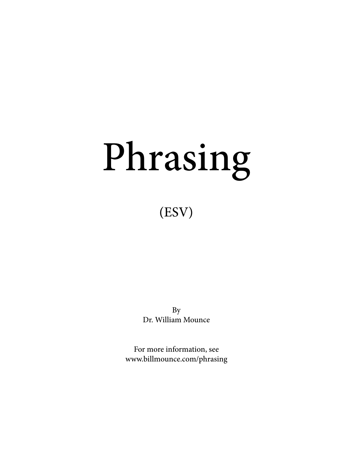# Phrasing

# (ESV)

By Dr. William Mounce

For more information, see www.billmounce.com/phrasing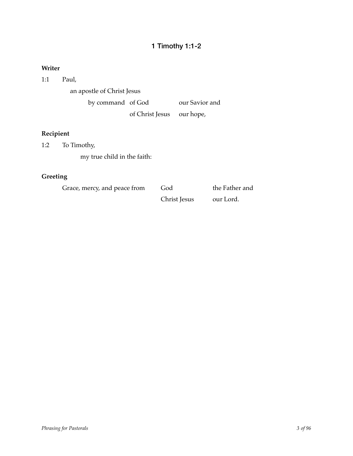## 1 Timothy 1:1-2

## **Writer**

1:1 Paul,

an apostle of Christ Jesus

by command of God our Savior and

of Christ Jesus our hope,

## **Recipient**

1:2 To Timothy,

my true child in the faith:

## **Greeting**

Grace, mercy, and peace from God the Father and

Christ Jesus our Lord.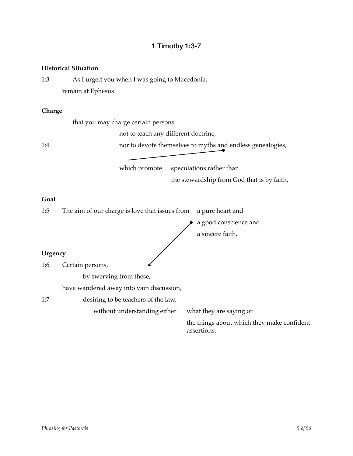## 1 Timothy 1:3-7

#### **Historical Situation**

1:3 As I urged you when I was going to Macedonia, remain at Ephesus

#### **Charge**

that you may charge certain persons

not to teach any different doctrine,

1:4 1:4 mor to devote themselves to myths and endless genealogies,

which promote speculations rather than

the stewardship from God that is by faith.

#### **Goal**

1:5 The aim of our charge is love that issues from a pure heart and a good conscience and a sincere faith. **Urgency** 1:6 Certain persons, by swerving from these, have wandered away into vain discussion, 1:7 **desiring to be teachers of the law,** without understanding either what they are saying or the things about which they make confident assertions.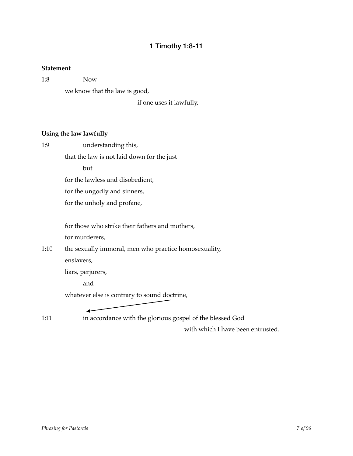## 1 Timothy 1:8-11

#### **Statement**

1:8! ! Now

we know that the law is good,

if one uses it lawfully,

## **Using the law lawfully**

1:9 **understanding this,** 

that the law is not laid down for the just

but

for the lawless and disobedient,

for the ungodly and sinners,

for the unholy and profane,

for those who strike their fathers and mothers,

for murderers,

1:10 the sexually immoral, men who practice homosexuality, enslavers,

liars, perjurers,

and

whatever else is contrary to sound doctrine,

1:11 **in accordance with the glorious gospel of the blessed God** 

with which I have been entrusted.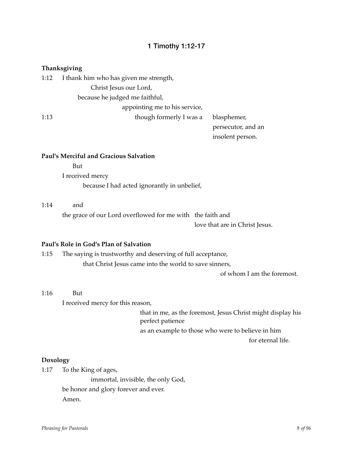## 1 Timothy 1:12-17

## **Thanksgiving**

| 1:12 | I thank him who has given me strength, |                       |
|------|----------------------------------------|-----------------------|
|      | Christ Jesus our Lord,                 |                       |
|      | because he judged me faithful,         |                       |
|      | appointing me to his service,          |                       |
| 1:13 | though formerly I was a                | blasphemer,           |
|      |                                        | persecutor, a         |
|      |                                        | incolon <sub>to</sub> |

ecutor, and an insolent person.

#### **Paul's Merciful and Gracious Salvation**

 $B<sub>11</sub>$ 

I received mercy because I had acted ignorantly in unbelief,

#### 1:14 and

the grace of our Lord overflowed for me with the faith and love that are in Christ Jesus.

#### **Paul's Role in God's Plan of Salvation**

1:15 The saying is trustworthy and deserving of full acceptance,

that Christ Jesus came into the world to save sinners,

of whom I am the foremost.

## 1:16 **But**

I received mercy for this reason,

that in me, as the foremost, Jesus Christ might display his perfect patience

as an example to those who were to believe in him

for eternal life.

#### **Doxology**

1:17 To the King of ages, immortal, invisible, the only God, be honor and glory forever and ever. Amen.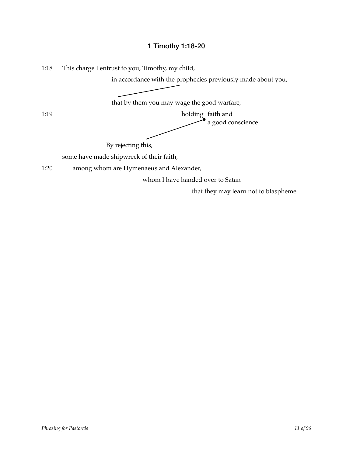## 1 Timothy 1:18-20

1:18 This charge I entrust to you, Timothy, my child,

in accordance with the prophecies previously made about you,

that by them you may wage the good warfare,

1:19 holding faith and a good conscience.

By rejecting this,

some have made shipwreck of their faith,

1:20 among whom are Hymenaeus and Alexander,

whom I have handed over to Satan

that they may learn not to blaspheme.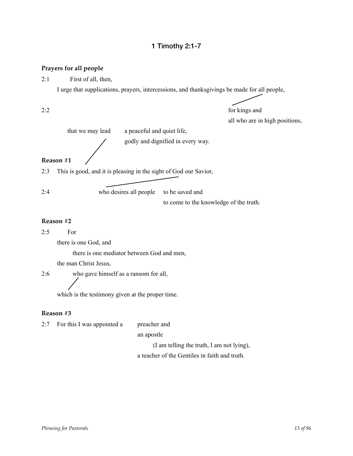## 1 Timothy 2:1-7

#### **Prayers for all people**

2:1 First of all, then,

I urge that supplications, prayers, intercessions, and thanksgivings be made for all people,

2:2 for kings and all who are in high positions,

 that we may lead a peaceful and quiet life, godly and dignified in every way. **Reason #1** 2:3 This is good, and it is pleasing in the sight of God our Savior,

2:4 who desires all people to be saved and

to come to the knowledge of the truth.

#### **Reason #2**

2:5 For

there is one God, and

there is one mediator between God and men,

the man Christ Jesus,

2:6 who gave himself as a ransom for all,

which is the testimony given at the proper time.

#### **Reason #3**

| 2:7 | For this I was appointed a | preacher and                                  |
|-----|----------------------------|-----------------------------------------------|
|     |                            | an apostle                                    |
|     |                            | (I am telling the truth, I am not lying),     |
|     |                            | a teacher of the Gentiles in faith and truth. |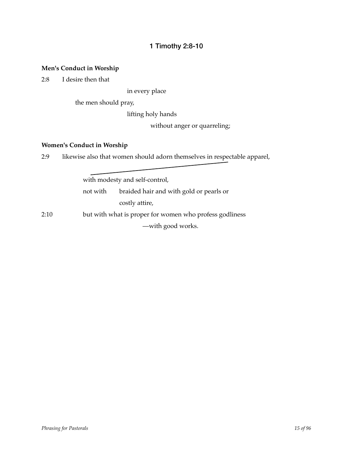## 1 Timothy 2:8-10

## **Men's Conduct in Worship**

2:8 I desire then that

in every place

the men should pray,

lifting holy hands

without anger or quarreling;

#### **Women's Conduct in Worship**

2:9 likewise also that women should adorn themselves in respectable apparel,

with modesty and self-control, not with braided hair and with gold or pearls or costly attire, 2:10 but with what is proper for women who profess godliness -with good works.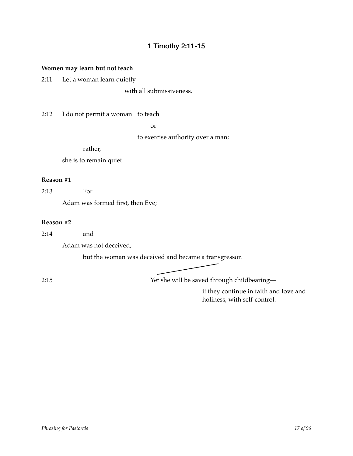## 1 Timothy 2:11-15

## **Women may learn but not teach**

2:11 Let a woman learn quietly

with all submissiveness.

2:12 I do not permit a woman to teach

 $or$ 

to exercise authority over a man;

rather,

she is to remain quiet.

#### **Reason #1**

2:13 For

Adam was formed first, then Eve;

#### **Reason #2**

2:14 and

Adam was not deceived,

but the woman was deceived and became a transgressor.

2:15! ! Yet she will be saved through childbearing—

if they continue in faith and love and holiness, with self-control.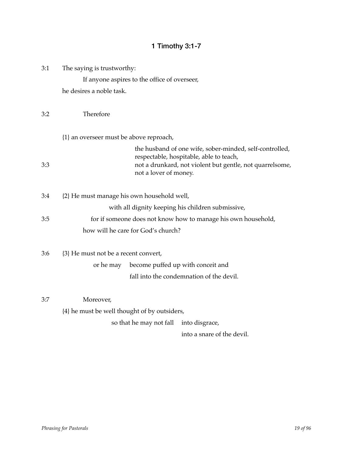# 1 Timothy 3:1-7

| 3:1<br>The saying is trustworthy: |                                              |                       |                                                                                                                                                                |
|-----------------------------------|----------------------------------------------|-----------------------|----------------------------------------------------------------------------------------------------------------------------------------------------------------|
|                                   | If anyone aspires to the office of overseer, |                       |                                                                                                                                                                |
|                                   | he desires a noble task.                     |                       |                                                                                                                                                                |
| 3:2                               | Therefore                                    |                       |                                                                                                                                                                |
|                                   | {1} an overseer must be above reproach,      |                       |                                                                                                                                                                |
| 3:3                               |                                              | not a lover of money. | the husband of one wife, sober-minded, self-controlled,<br>respectable, hospitable, able to teach,<br>not a drunkard, not violent but gentle, not quarrelsome, |
| 3:4                               | {2} He must manage his own household well,   |                       |                                                                                                                                                                |
|                                   |                                              |                       | with all dignity keeping his children submissive,                                                                                                              |
| 3:5                               |                                              |                       | for if someone does not know how to manage his own household,                                                                                                  |
|                                   | how will he care for God's church?           |                       |                                                                                                                                                                |
| 3:6                               | {3} He must not be a recent convert,         |                       |                                                                                                                                                                |
|                                   | or he may                                    |                       | become puffed up with conceit and                                                                                                                              |
|                                   |                                              |                       | fall into the condemnation of the devil.                                                                                                                       |
| 3:7                               | Moreover,                                    |                       |                                                                                                                                                                |
|                                   | {4} he must be well thought of by outsiders, |                       |                                                                                                                                                                |
|                                   | so that he may not fall                      |                       | into disgrace,                                                                                                                                                 |
|                                   |                                              |                       | into a snare of the devil.                                                                                                                                     |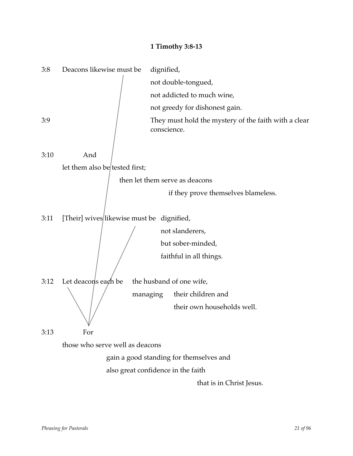## **1 Timothy 3:8-13**

| 3:8                             | Deacons likewise must be                  | dignified,                                                          |  |
|---------------------------------|-------------------------------------------|---------------------------------------------------------------------|--|
|                                 |                                           | not double-tongued,                                                 |  |
|                                 |                                           | not addicted to much wine,                                          |  |
|                                 |                                           | not greedy for dishonest gain.                                      |  |
| 3:9                             |                                           | They must hold the mystery of the faith with a clear<br>conscience. |  |
| 3:10                            | And                                       |                                                                     |  |
|                                 | let them also be tested first;            |                                                                     |  |
|                                 |                                           | then let them serve as deacons                                      |  |
|                                 |                                           | if they prove themselves blameless.                                 |  |
| 3:11                            | [Their] wives likewise must be dignified, |                                                                     |  |
|                                 |                                           | not slanderers,                                                     |  |
|                                 | but sober-minded,                         |                                                                     |  |
|                                 |                                           | faithful in all things.                                             |  |
| 3:12                            | Let deacons each be                       | the husband of one wife,                                            |  |
|                                 |                                           | their children and<br>managing                                      |  |
|                                 |                                           | their own households well.                                          |  |
| 3:13                            | For                                       |                                                                     |  |
| those who serve well as deacons |                                           |                                                                     |  |
|                                 |                                           | gain a good standing for themselves and                             |  |
|                                 |                                           | also great confidence in the faith                                  |  |
|                                 |                                           | that is in Christ Jesus.                                            |  |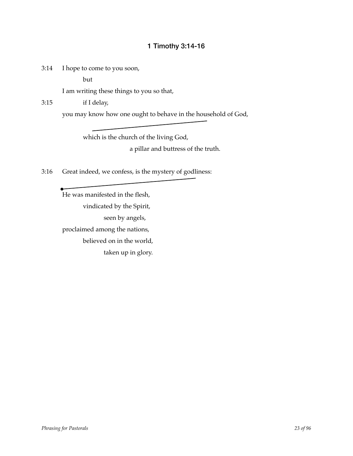## 1 Timothy 3:14-16

3:14 I hope to come to you soon,

but

I am writing these things to you so that,

3:15 if I delay,

you may know how one ought to behave in the household of God,

which is the church of the living God, a pillar and buttress of the truth.

3:16 Great indeed, we confess, is the mystery of godliness:

He was manifested in the flesh, vindicated by the Spirit, seen by angels, proclaimed among the nations, believed on in the world, taken up in glory.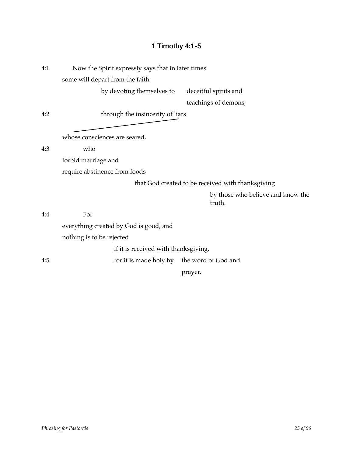# 1 Timothy 4:1-5

| 4:1 | Now the Spirit expressly says that in later times |                                                   |
|-----|---------------------------------------------------|---------------------------------------------------|
|     | some will depart from the faith                   |                                                   |
|     | by devoting themselves to                         | deceitful spirits and                             |
|     |                                                   | teachings of demons,                              |
| 4:2 | through the insincerity of liars                  |                                                   |
|     |                                                   |                                                   |
|     | whose consciences are seared,                     |                                                   |
| 4:3 | who                                               |                                                   |
|     | forbid marriage and                               |                                                   |
|     | require abstinence from foods                     |                                                   |
|     |                                                   | that God created to be received with thanksgiving |
|     |                                                   | by those who believe and know the<br>truth.       |
| 4:4 | For                                               |                                                   |
|     | everything created by God is good, and            |                                                   |
|     | nothing is to be rejected                         |                                                   |
|     | if it is received with thanksgiving,              |                                                   |
| 4:5 | for it is made holy by the word of God and        |                                                   |
|     |                                                   |                                                   |

prayer.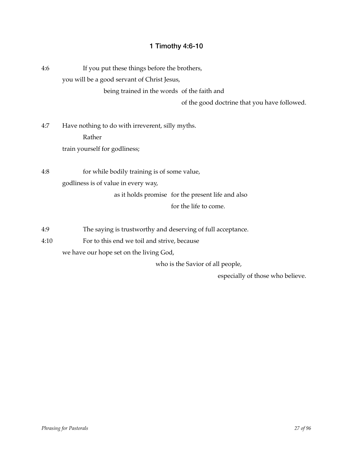# 1 Timothy 4:6-10

| 4:6         | If you put these things before the brothers,<br>you will be a good servant of Christ Jesus,<br>being trained in the words of the faith and<br>of the good doctrine that you have followed. |
|-------------|--------------------------------------------------------------------------------------------------------------------------------------------------------------------------------------------|
| 4:7         | Have nothing to do with irreverent, silly myths.<br>Rather<br>train yourself for godliness;                                                                                                |
| 4:8         | for while bodily training is of some value,<br>godliness is of value in every way,<br>as it holds promise for the present life and also<br>for the life to come.                           |
| 4:9<br>4:10 | The saying is trustworthy and deserving of full acceptance.<br>For to this end we toil and strive, because<br>we have our hope set on the living God,                                      |

who is the Savior of all people,

especially of those who believe.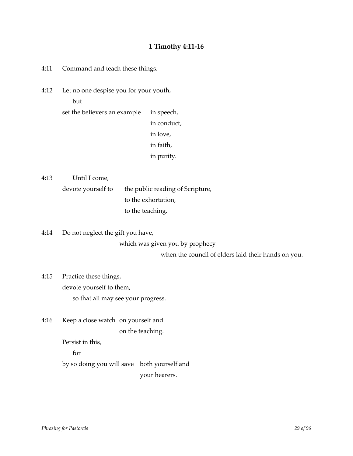## **1 Timothy 4:11-16**

4:11 Command and teach these things.

4:12 Let no one despise you for your youth,  $but$ 

> set the believers an example in speech, in conduct, in love, in faith,

> > in purity.

4:13 Until I come,

devote yourself to the public reading of Scripture, to the exhortation, to the teaching.

4:14 Do not neglect the gift you have, which was given you by prophecy when the council of elders laid their hands on you.

4:15 Practice these things, devote yourself to them, so that all may see your progress.

4:16 Keep a close watch on yourself and on the teaching.

Persist in this,

for

by so doing you will save both yourself and your hearers.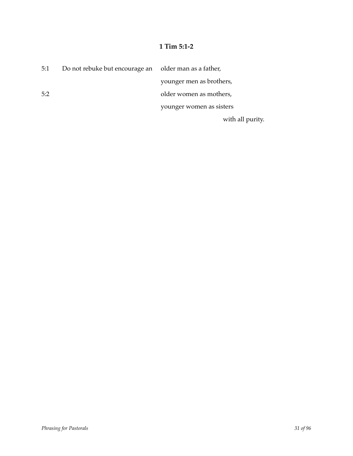## **1 Tim 5:1-2**

| 5:1 | Do not rebuke but encourage an older man as a father, |                          |
|-----|-------------------------------------------------------|--------------------------|
|     |                                                       | younger men as brothers, |
| 5:2 |                                                       | older women as mothers,  |
|     |                                                       | younger women as sisters |
|     |                                                       | with all purity.         |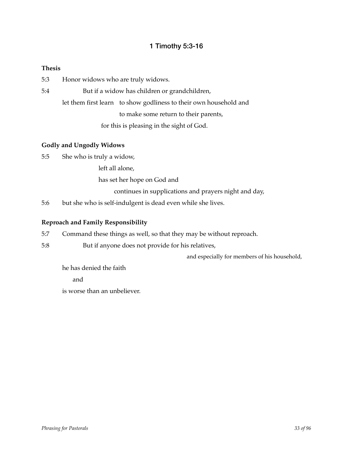## 1 Timothy 5:3-16

## **Thesis**

5:3 Honor widows who are truly widows.

5:4 But if a widow has children or grandchildren, let them first learn to show godliness to their own household and to make some return to their parents, for this is pleasing in the sight of God.

## **Godly and Ungodly Widows**

5:5 She who is truly a widow,

left all alone,

has set her hope on God and

continues in supplications and prayers night and day,

5:6 but she who is self-indulgent is dead even while she lives.

#### **Reproach and Family Responsibility**

- 5:7 Command these things as well, so that they may be without reproach.
- 5:8 But if anyone does not provide for his relatives,

and especially for members of his household,

he has denied the faith

and

is worse than an unbeliever.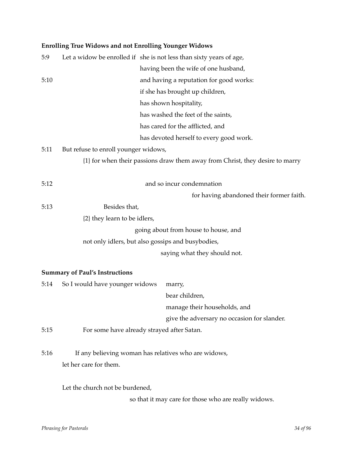## **Enrolling True Widows and not Enrolling Younger Widows**

| 5:9  |                                       | Let a widow be enrolled if she is not less than sixty years of age,          |
|------|---------------------------------------|------------------------------------------------------------------------------|
|      |                                       | having been the wife of one husband,                                         |
| 5:10 |                                       | and having a reputation for good works:                                      |
|      |                                       | if she has brought up children,                                              |
|      |                                       | has shown hospitality,                                                       |
|      |                                       | has washed the feet of the saints,                                           |
|      |                                       | has cared for the afflicted, and                                             |
|      |                                       | has devoted herself to every good work.                                      |
| 5:11 | But refuse to enroll younger widows,  |                                                                              |
|      |                                       | {1} for when their passions draw them away from Christ, they desire to marry |
| 5:12 |                                       | and so incur condemnation                                                    |
|      |                                       | for having abandoned their former faith.                                     |
| 5:13 | Besides that,                         |                                                                              |
|      | {2} they learn to be idlers,          |                                                                              |
|      |                                       | going about from house to house, and                                         |
|      |                                       | not only idlers, but also gossips and busybodies,                            |
|      |                                       | saying what they should not.                                                 |
|      | <b>Summary of Paul's Instructions</b> |                                                                              |
| 5:14 | So I would have younger widows        | marry,                                                                       |
|      |                                       | bear children,                                                               |
|      |                                       | manage their households, and                                                 |
|      |                                       | give the adversary no occasion for slander.                                  |
| 5:15 |                                       | For some have already strayed after Satan.                                   |
| 5:16 |                                       | If any believing woman has relatives who are widows,                         |
|      | let her care for them.                |                                                                              |
|      | Let the church not be burdened,       |                                                                              |
|      |                                       | so that it may care for those who are really widows.                         |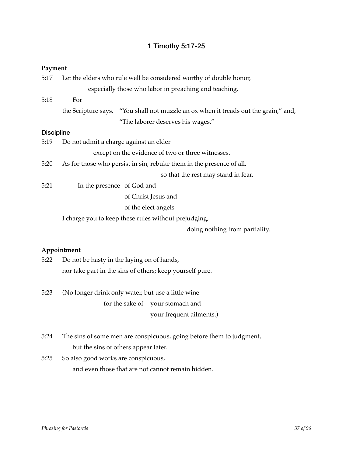## 1 Timothy 5:17-25

#### **Payment**

| 5:17              | Let the elders who rule well be considered worthy of double honor,   |                                                                                     |  |
|-------------------|----------------------------------------------------------------------|-------------------------------------------------------------------------------------|--|
|                   | especially those who labor in preaching and teaching.                |                                                                                     |  |
| 5:18              | For                                                                  |                                                                                     |  |
|                   |                                                                      | the Scripture says, "You shall not muzzle an ox when it treads out the grain," and, |  |
|                   |                                                                      | "The laborer deserves his wages."                                                   |  |
| <b>Discipline</b> |                                                                      |                                                                                     |  |
| 5:19              | Do not admit a charge against an elder                               |                                                                                     |  |
|                   |                                                                      | except on the evidence of two or three witnesses.                                   |  |
| 5:20              | As for those who persist in sin, rebuke them in the presence of all, |                                                                                     |  |
|                   |                                                                      | so that the rest may stand in fear.                                                 |  |
| 5:21              | In the presence of God and                                           |                                                                                     |  |
|                   |                                                                      | of Christ Jesus and                                                                 |  |
|                   |                                                                      | of the elect angels                                                                 |  |
|                   |                                                                      | I charge you to keep these rules without prejudging,                                |  |
|                   |                                                                      |                                                                                     |  |

doing nothing from partiality.

## **Appointment**

| 5:22 | Do not be hasty in the laying on of hands,               |
|------|----------------------------------------------------------|
|      | nor take part in the sins of others; keep yourself pure. |

- 5:23 (No longer drink only water, but use a little wine for the sake of your stomach and your frequent ailments.)
- 5:24 The sins of some men are conspicuous, going before them to judgment, but the sins of others appear later.
- 5:25 So also good works are conspicuous, and even those that are not cannot remain hidden.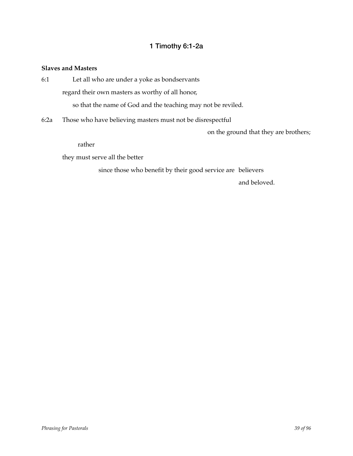## 1 Timothy 6:1-2a

#### **Slaves and Masters**

| 6:1 | Let all who are under a yoke as bondservants                                                |  |
|-----|---------------------------------------------------------------------------------------------|--|
|     | regard their own masters as worthy of all honor,                                            |  |
|     | so that the name of God and the teaching may not be reviled.                                |  |
|     | $\mathcal{L} \Omega$ . There is the leave leal in the construction of the linear definition |  |

6:2a Those who have believing masters must not be disrespectful

on the ground that they are brothers;

rather

they must serve all the better

since those who benefit by their good service are believers

and beloved.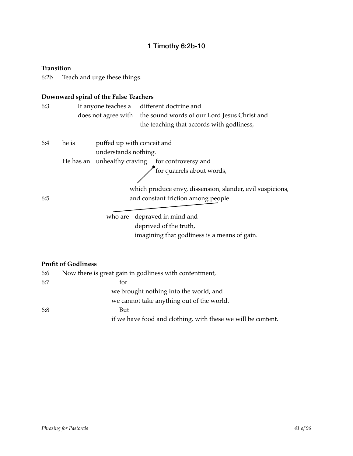## 1 Timothy 6:2b-10

**Transition**

6:2b Teach and urge these things.

## **Downward spiral of the False Teachers**

| 6:3 |                                                             |  | If anyone teaches a different doctrine and<br>does not agree with the sound words of our Lord Jesus Christ and<br>the teaching that accords with godliness, |
|-----|-------------------------------------------------------------|--|-------------------------------------------------------------------------------------------------------------------------------------------------------------|
| 6:4 | he is<br>puffed up with conceit and<br>understands nothing. |  |                                                                                                                                                             |
|     |                                                             |  | He has an unhealthy craving for controversy and                                                                                                             |
|     |                                                             |  | for quarrels about words,                                                                                                                                   |
|     |                                                             |  |                                                                                                                                                             |
|     |                                                             |  | which produce envy, dissension, slander, evil suspicions,                                                                                                   |
| 6:5 |                                                             |  | and constant friction among people                                                                                                                          |
|     |                                                             |  |                                                                                                                                                             |

who are depraved in mind and deprived of the truth, imagining that godliness is a means of gain.

## **Profit of Godliness**

| 6:6 | Now there is great gain in godliness with contentment,       |
|-----|--------------------------------------------------------------|
| 6:7 | for                                                          |
|     | we brought nothing into the world, and                       |
|     | we cannot take anything out of the world.                    |
| 6:8 | But                                                          |
|     | if we have food and clothing, with these we will be content. |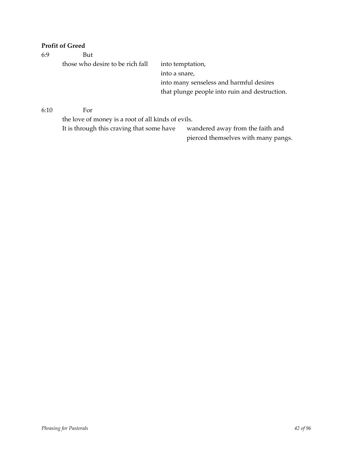## **Profit of Greed**

| 6:9  | But                                                |                                               |  |  |  |
|------|----------------------------------------------------|-----------------------------------------------|--|--|--|
|      | those who desire to be rich fall                   | into temptation,                              |  |  |  |
|      |                                                    | into a snare,                                 |  |  |  |
|      |                                                    | into many senseless and harmful desires       |  |  |  |
|      |                                                    | that plunge people into ruin and destruction. |  |  |  |
| 6:10 | For                                                |                                               |  |  |  |
|      | the love of money is a root of all kinds of evils. |                                               |  |  |  |

It is through this craving that some have wandered away from the faith and

pierced themselves with many pangs.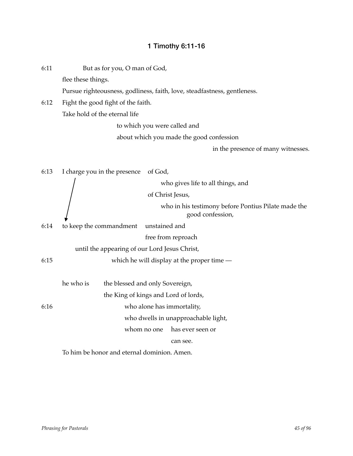# 1 Timothy 6:11-16

| 6:11 |                    | But as for you, O man of God,                 |               |                                                                          |
|------|--------------------|-----------------------------------------------|---------------|--------------------------------------------------------------------------|
|      | flee these things. |                                               |               |                                                                          |
|      |                    |                                               |               | Pursue righteousness, godliness, faith, love, steadfastness, gentleness. |
| 6:12 |                    | Fight the good fight of the faith.            |               |                                                                          |
|      |                    | Take hold of the eternal life                 |               |                                                                          |
|      |                    |                                               |               | to which you were called and                                             |
|      |                    |                                               |               | about which you made the good confession                                 |
|      |                    |                                               |               | in the presence of many witnesses.                                       |
| 6:13 |                    | I charge you in the presence                  | of God,       |                                                                          |
|      |                    |                                               |               | who gives life to all things, and                                        |
|      |                    |                                               |               | of Christ Jesus,                                                         |
|      |                    |                                               |               | who in his testimony before Pontius Pilate made the<br>good confession,  |
| 6:14 |                    | to keep the commandment                       | unstained and |                                                                          |
|      |                    |                                               |               | free from reproach                                                       |
|      |                    | until the appearing of our Lord Jesus Christ, |               |                                                                          |
| 6:15 |                    |                                               |               | which he will display at the proper time $-$                             |
|      | he who is          | the blessed and only Sovereign,               |               |                                                                          |
|      |                    | the King of kings and Lord of lords,          |               |                                                                          |
| 6:16 |                    |                                               |               | who alone has immortality,                                               |
|      |                    |                                               |               | who dwells in unapproachable light,                                      |
|      |                    |                                               | whom no one   | has ever seen or                                                         |
|      |                    |                                               |               | can see.                                                                 |
|      |                    | To him be honor and eternal dominion. Amen.   |               |                                                                          |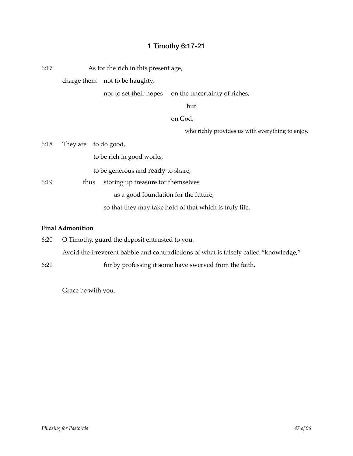## 1 Timothy 6:17-21

6:17 As for the rich in this present age,

charge them not to be haughty,

nor to set their hopes on the uncertainty of riches,

! ! but

on God.

who richly provides us with everything to enjoy.

| 6:18 |      | They are to do good,                                    |
|------|------|---------------------------------------------------------|
|      |      | to be rich in good works,                               |
|      |      | to be generous and ready to share,                      |
| 6:19 | thus | storing up treasure for themselves                      |
|      |      | as a good foundation for the future,                    |
|      |      | so that they may take hold of that which is truly life. |

#### **Final Admonition**

- 6:20 O Timothy, guard the deposit entrusted to you. Avoid the irreverent babble and contradictions of what is falsely called "knowledge,"
- 6:21 ! ! for by professing it some have swerved from the faith.

Grace be with you.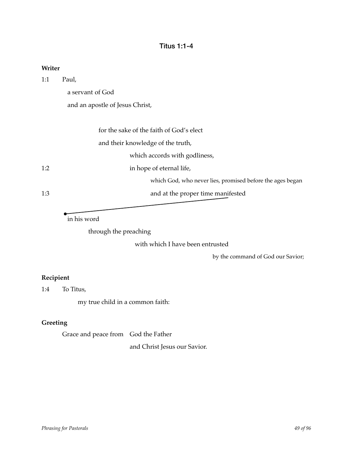## Titus 1:1-4

| 1:1 | Paul,                                                     |
|-----|-----------------------------------------------------------|
|     | a servant of God                                          |
|     | and an apostle of Jesus Christ,                           |
|     |                                                           |
|     | for the sake of the faith of God's elect                  |
|     | and their knowledge of the truth,                         |
|     | which accords with godliness,                             |
| 1:2 | in hope of eternal life,                                  |
|     | which God, who never lies, promised before the ages began |
| 1:3 | and at the proper time manifested                         |

in his word

through the preaching

with which I have been entrusted

by the command of God our Savior;

## **Recipient**

**Writer**

1:4 To Titus,

my true child in a common faith:

## **Greeting**

Grace and peace from God the Father

and Christ Jesus our Savior.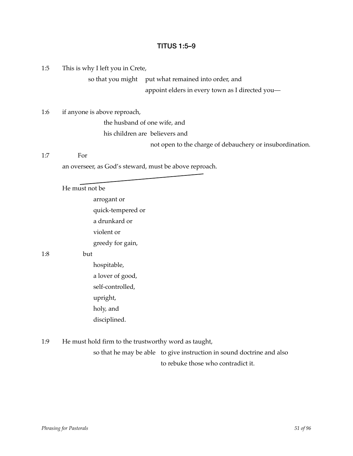## TITUS 1:5–9

1:5 This is why I left you in Crete,

so that you might put what remained into order, and

appoint elders in every town as I directed you-

1:6 if anyone is above reproach,

the husband of one wife, and

his children are believers and

not open to the charge of debauchery or insubordination.

1:7! ! For

an overseer, as God's steward, must be above reproach.

He must not be

arrogant or quick-tempered or a drunkard or violent or greedy for gain,

#### $1:8$  but

- hospitable, a lover of good, self-controlled, upright, holy, and disciplined.
- 1:9 He must hold firm to the trustworthy word as taught, so that he may be able to give instruction in sound doctrine and also to rebuke those who contradict it.

*Phrasing for Pastorals 51 of 96*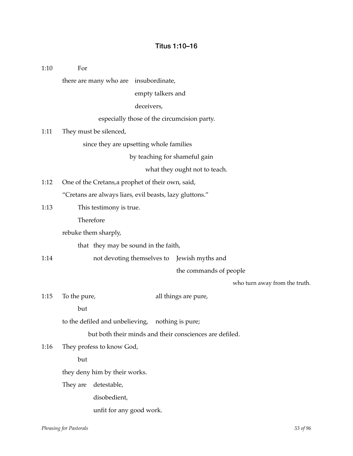## Titus 1:10–16

1:10 For there are many who are insubordinate, empty talkers and deceivers, especially those of the circumcision party. 1:11 They must be silenced, since they are upsetting whole families by teaching for shameful gain what they ought not to teach. 1:12 One of the Cretans,a prophet of their own, said, "Cretans are always liars, evil beasts, lazy gluttons." 1:13 Ihis testimony is true. Therefore rebuke them sharply, that they may be sound in the faith, 1:14 mot devoting themselves to Jewish myths and the commands of people who turn away from the truth. 1:15 To the pure, all things are pure,  $but$ to the defiled and unbelieving, nothing is pure; but both their minds and their consciences are defiled. 1:16 They profess to know God,  $but$ they deny him by their works. They are detestable, disobedient, unfit for any good work.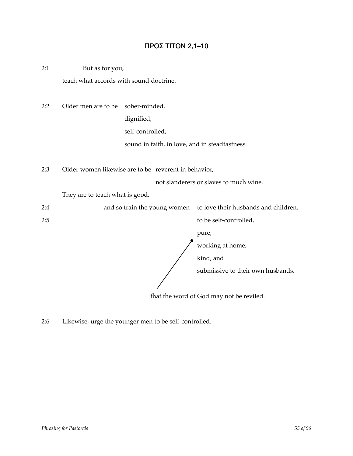## ΠΡΟΣ ΤΙΤΟΝ 2,1–10

2:1 But as for you, teach what accords with sound doctrine.

2:2 Older men are to be sober-minded, dignified, self-controlled, sound in faith, in love, and in steadfastness.

2:3 Older women likewise are to be reverent in behavior,

not slanderers or slaves to much wine.

They are to teach what is good,

2:4  $\ldots$  and so train the young women to love their husbands and children,

2:5 ! ! to be self-controlled,

 $pure$ ,

working at home,

kind, and

submissive to their own husbands,

that the word of God may not be reviled.

2:6 Likewise, urge the younger men to be self-controlled.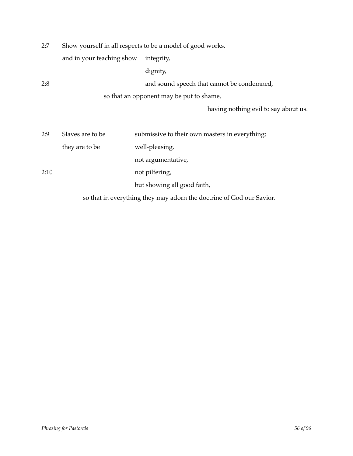| 2:7  | Show yourself in all respects to be a model of good works, |                                                                      |
|------|------------------------------------------------------------|----------------------------------------------------------------------|
|      | and in your teaching show                                  | integrity,                                                           |
|      |                                                            | dignity,                                                             |
| 2:8  |                                                            | and sound speech that cannot be condemned,                           |
|      |                                                            | so that an opponent may be put to shame,                             |
|      |                                                            | having nothing evil to say about us.                                 |
|      |                                                            |                                                                      |
| 2:9  | Slaves are to be                                           | submissive to their own masters in everything;                       |
|      | they are to be                                             | well-pleasing,                                                       |
|      |                                                            | not argumentative,                                                   |
| 2:10 |                                                            | not pilfering,                                                       |
|      |                                                            | but showing all good faith,                                          |
|      |                                                            | so that in everything they may adorn the doctrine of God our Savior. |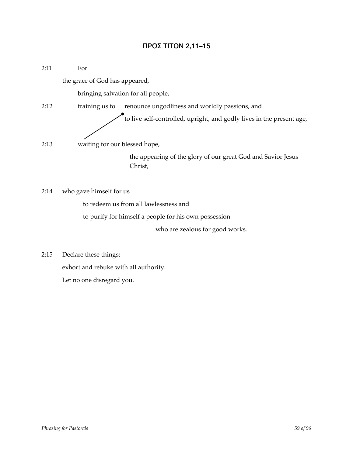## ΠΡΟΣ ΤΙΤΟΝ 2,11–15

| 2:11 | For                            |                                                                         |
|------|--------------------------------|-------------------------------------------------------------------------|
|      | the grace of God has appeared, |                                                                         |
|      |                                | bringing salvation for all people,                                      |
| 2:12 | training us to                 | renounce ungodliness and worldly passions, and                          |
|      |                                | to live self-controlled, upright, and godly lives in the present age,   |
| 2:13 | waiting for our blessed hope,  |                                                                         |
|      |                                | the appearing of the glory of our great God and Savior Jesus<br>Christ, |

2:14 who gave himself for us

to redeem us from all lawlessness and

to purify for himself a people for his own possession

who are zealous for good works.

2:15 Declare these things; exhort and rebuke with all authority. Let no one disregard you.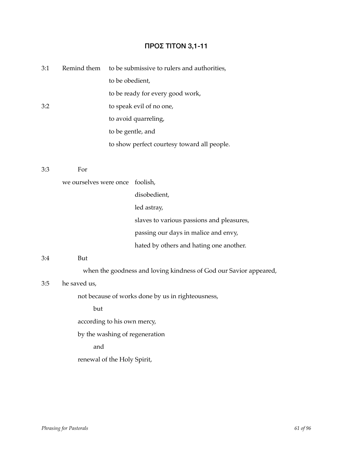# ΠΡΟΣ ΤΙΤΟΝ 3,1-11

| 3:1 | Remind them                 |                   | to be submissive to rulers and authorities,                       |
|-----|-----------------------------|-------------------|-------------------------------------------------------------------|
|     |                             | to be obedient,   |                                                                   |
|     |                             |                   | to be ready for every good work,                                  |
| 3:2 |                             |                   | to speak evil of no one,                                          |
|     |                             |                   | to avoid quarreling,                                              |
|     |                             | to be gentle, and |                                                                   |
|     |                             |                   | to show perfect courtesy toward all people.                       |
| 3:3 | For                         |                   |                                                                   |
|     | we ourselves were once      |                   | foolish,                                                          |
|     |                             |                   | disobedient,                                                      |
|     |                             |                   | led astray,                                                       |
|     |                             |                   | slaves to various passions and pleasures,                         |
|     |                             |                   | passing our days in malice and envy,                              |
|     |                             |                   | hated by others and hating one another.                           |
| 3:4 | But                         |                   |                                                                   |
|     |                             |                   | when the goodness and loving kindness of God our Savior appeared, |
| 3:5 | he saved us,                |                   |                                                                   |
|     |                             |                   | not because of works done by us in righteousness,                 |
|     | but                         |                   |                                                                   |
|     | according to his own mercy, |                   |                                                                   |
|     |                             |                   | by the washing of regeneration                                    |
|     | and                         |                   |                                                                   |
|     | renewal of the Holy Spirit, |                   |                                                                   |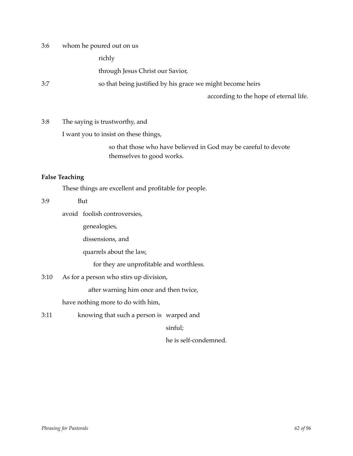3:6 whom he poured out on us

richly

through Jesus Christ our Savior,

3:7 ! ! so that being justified by his grace we might become heirs

according to the hope of eternal life.

3:8 The saying is trustworthy, and

I want you to insist on these things,

so that those who have believed in God may be careful to devote themselves to good works.

#### **False Teaching**

These things are excellent and profitable for people.

#### 3:9 ! ! But

avoid foolish controversies,

genealogies,

dissensions, and

quarrels about the law,

for they are unprofitable and worthless.

#### 3:10 As for a person who stirs up division,

after warning him once and then twice,

have nothing more to do with him,

3:11 ! ! knowing that such a person is warped and

sinful;

he is self-condemned.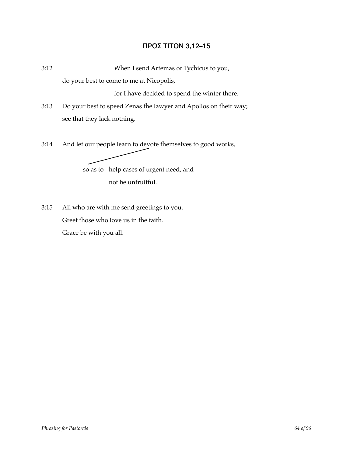## ΠΡΟΣ ΤΙΤΟΝ 3,12–15

3:12! ! When I send Artemas or Tychicus to you,

do your best to come to me at Nicopolis,

for I have decided to spend the winter there.

- 3:13 Do your best to speed Zenas the lawyer and Apollos on their way; see that they lack nothing.
- 3:14 And let our people learn to devote themselves to good works,

so as to help cases of urgent need, and not be unfruitful.

3:15 All who are with me send greetings to you. Greet those who love us in the faith. Grace be with you all.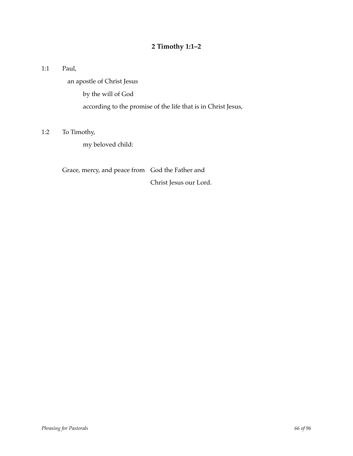## **2 Timothy 1:1–2**

1:1 Paul,

an apostle of Christ Jesus

by the will of God

according to the promise of the life that is in Christ Jesus,

## 1:2 To Timothy,

my beloved child:

Grace, mercy, and peace from God the Father and

Christ Jesus our Lord.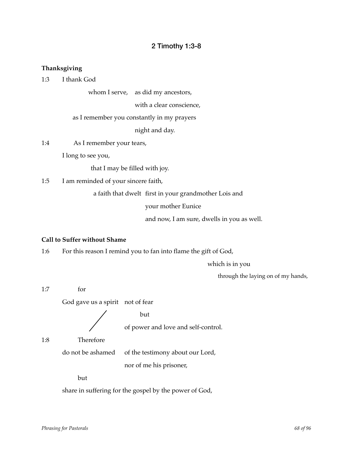## 2 Timothy 1:3-8

## **Thanksgiving**

1:3 I thank God

whom I serve, as did my ancestors,

with a clear conscience,

as I remember you constantly in my prayers

night and day.

1:4 As I remember your tears,

I long to see you,

that I may be filled with joy.

1:5 I am reminded of your sincere faith,

a faith that dwelt first in your grandmother Lois and

your mother Eunice

and now, I am sure, dwells in you as well.

#### **Call to Suffer without Shame**

1:6 For this reason I remind you to fan into flame the gift of God,

which is in you

through the laying on of my hands,

 $1:7$  for God gave us a spirit not of fear  $\sqrt{ }$  but

of power and love and self-control.

1:8 Therefore

do not be ashamed of the testimony about our Lord,

nor of me his prisoner,

but

share in suffering for the gospel by the power of God,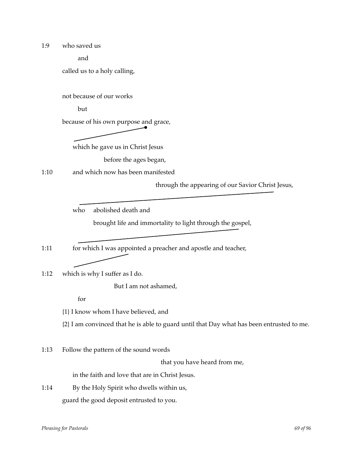1:9 who saved us

and

called us to a holy calling,

not because of our works

 $but$ 

because of his own purpose and grace,



which he gave us in Christ Jesus

before the ages began,

1:10 and which now has been manifested

through the appearing of our Savior Christ Jesus,

who abolished death and

brought life and immortality to light through the gospel,

1:11 for which I was appointed a preacher and apostle and teacher,

1:12 which is why I suffer as I do.

But I am not ashamed,

for

{1} I know whom I have believed, and

{2} I am convinced that he is able to guard until that Day what has been entrusted to me.

1:13 Follow the pattern of the sound words

that you have heard from me,

in the faith and love that are in Christ Jesus.

1:14 By the Holy Spirit who dwells within us, guard the good deposit entrusted to you.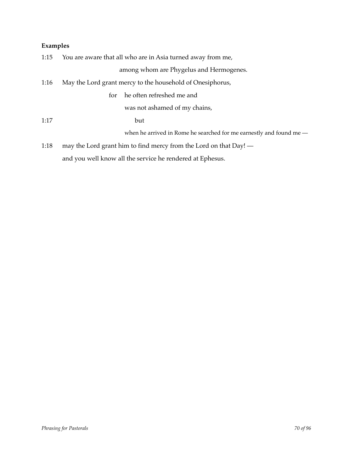## **Examples**

|      | 1:15 You are aware that all who are in Asia turned away from me,      |  |
|------|-----------------------------------------------------------------------|--|
|      | among whom are Phygelus and Hermogenes.                               |  |
| 1:16 | May the Lord grant mercy to the household of Onesiphorus,             |  |
|      | he often refreshed me and<br>for                                      |  |
|      | was not ashamed of my chains,                                         |  |
| 1:17 | but                                                                   |  |
|      | when he arrived in Rome he searched for me earnestly and found me $-$ |  |
| 1:18 | may the Lord grant him to find mercy from the Lord on that Day! —     |  |
|      | and you well know all the service he rendered at Ephesus.             |  |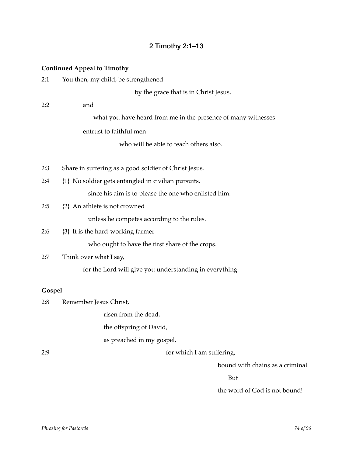## 2 Timothy 2:1–13

#### **Continued Appeal to Timothy**

| 2:1 |  |  | You then, my child, be strengthened |
|-----|--|--|-------------------------------------|
|-----|--|--|-------------------------------------|

by the grace that is in Christ Jesus,

2:2 and what you have heard from me in the presence of many witnesses entrust to faithful men

who will be able to teach others also.

- 2:3 Share in suffering as a good soldier of Christ Jesus.
- 2:4 {1} No soldier gets entangled in civilian pursuits, since his aim is to please the one who enlisted him.
- 2:5 {2} An athlete is not crowned

unless he competes according to the rules.

2:6 {3} It is the hard-working farmer

who ought to have the first share of the crops.

2:7 Think over what I say,

for the Lord will give you understanding in everything.

#### **Gospel**

2:8 Remember Jesus Christ,

risen from the dead.

the offspring of David,

as preached in my gospel,

2:9 ! ! for which I am suffering,

bound with chains as a criminal.

. But a state of the state of the state of the But and the But and the But and the But and the But and the But

the word of God is not bound!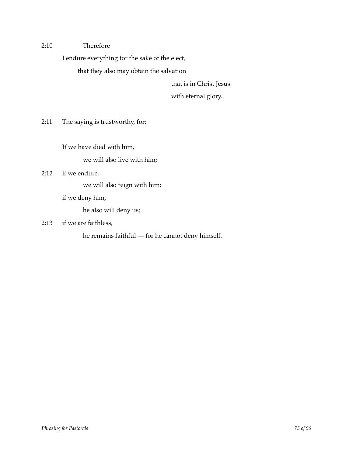2:10 Therefore

I endure everything for the sake of the elect,

that they also may obtain the salvation

that is in Christ Jesus

with eternal glory.

2:11 The saying is trustworthy, for:

If we have died with him,

we will also live with him;

#### 2:12 if we endure,

we will also reign with him;

if we deny him,

he also will deny us;

2:13 if we are faithless,

he remains faithful — for he cannot deny himself.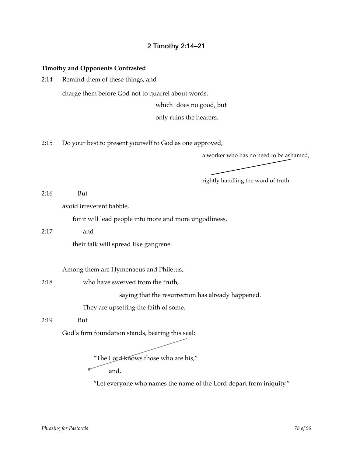## 2 Timothy 2:14–21

#### **Timothy and Opponents Contrasted**

2:14 Remind them of these things, and

charge them before God not to quarrel about words,

which does no good, but

only ruins the hearers.

2:15 Do your best to present yourself to God as one approved,

a worker who has no need to be ashamed,

rightly handling the word of truth.

2:16 But

avoid irreverent babble,

for it will lead people into more and more ungodliness,

#### 2:17 and

their talk will spread like gangrene.

Among them are Hymenaeus and Philetus,

2:18 **who have swerved from the truth,** 

saying that the resurrection has already happened.

They are upsetting the faith of some.

2:19 But

God's firm foundation stands, bearing this seal:



and,

"Let everyone who names the name of the Lord depart from iniquity."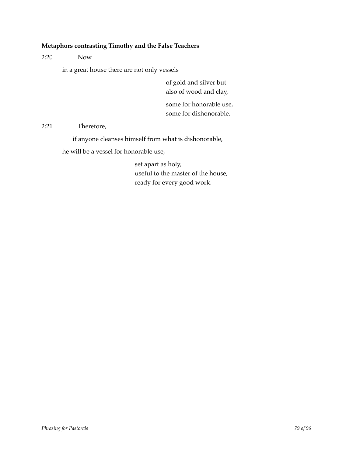## **Metaphors contrasting Timothy and the False Teachers**

2:20! ! Now

in a great house there are not only vessels

of gold and silver but also of wood and clay,

some for honorable use, some for dishonorable.

2:21 Therefore,

if anyone cleanses himself from what is dishonorable,

he will be a vessel for honorable use,

set apart as holy, useful to the master of the house, ready for every good work.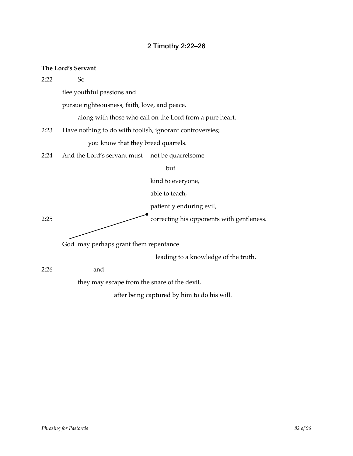# 2 Timothy 2:22–26

## **The Lord's Servant**

| 2:22 | So                                                       |                                                          |
|------|----------------------------------------------------------|----------------------------------------------------------|
|      | flee youthful passions and                               |                                                          |
|      | pursue righteousness, faith, love, and peace,            |                                                          |
|      |                                                          | along with those who call on the Lord from a pure heart. |
| 2:23 | Have nothing to do with foolish, ignorant controversies; |                                                          |
|      | you know that they breed quarrels.                       |                                                          |
| 2:24 | And the Lord's servant must not be quarrelsome           |                                                          |
|      |                                                          | but                                                      |
|      |                                                          | kind to everyone,                                        |
|      |                                                          | able to teach,                                           |
|      |                                                          | patiently enduring evil,                                 |
| 2:25 |                                                          | correcting his opponents with gentleness.                |
|      |                                                          |                                                          |
|      | God may perhaps grant them repentance                    |                                                          |
|      |                                                          | leading to a knowledge of the truth,                     |
| 2:26 | and                                                      |                                                          |
|      | they may escape from the snare of the devil,             |                                                          |
|      |                                                          | after being captured by him to do his will.              |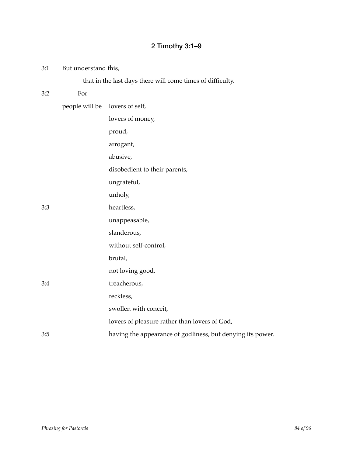# 2 Timothy 3:1–9

| 3:1 | But understand this, |                                                            |
|-----|----------------------|------------------------------------------------------------|
|     |                      | that in the last days there will come times of difficulty. |
| 3:2 | For                  |                                                            |
|     | people will be       | lovers of self,                                            |
|     |                      | lovers of money,                                           |
|     |                      | proud,                                                     |
|     |                      | arrogant,                                                  |
|     |                      | abusive,                                                   |
|     |                      | disobedient to their parents,                              |
|     |                      | ungrateful,                                                |
|     |                      | unholy,                                                    |
| 3:3 |                      | heartless,                                                 |
|     |                      | unappeasable,                                              |
|     |                      | slanderous,                                                |
|     |                      | without self-control,                                      |
|     |                      | brutal,                                                    |
|     |                      | not loving good,                                           |
| 3:4 |                      | treacherous,                                               |
|     |                      | reckless,                                                  |
|     |                      | swollen with conceit,                                      |
|     |                      | lovers of pleasure rather than lovers of God,              |
| 3:5 |                      | having the appearance of godliness, but denying its power. |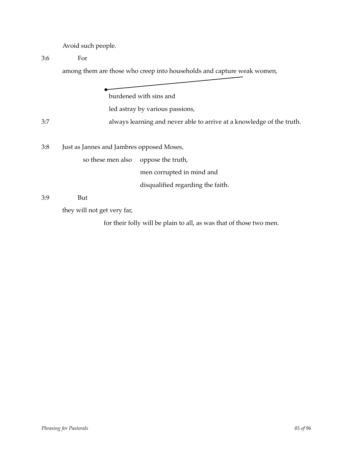Avoid such people.

3:6 ! ! For

among them are those who creep into households and capture weak women,

burdened with sins and led astray by various passions, 3:7  $3.7$  always learning and never able to arrive at a knowledge of the truth. 3:8 Just as Jannes and Jambres opposed Moses, so these men also oppose the truth, men corrupted in mind and disqualified regarding the faith. 3:9 ! ! But

they will not get very far,

for their folly will be plain to all, as was that of those two men.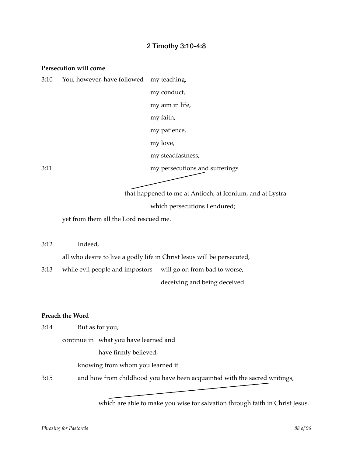## 2 Timothy 3:10-4:8

#### **Persecution will come**

| 3:10 | You, however, have followed my teaching, |                                |
|------|------------------------------------------|--------------------------------|
|      |                                          | my conduct,                    |
|      |                                          | my aim in life,                |
|      |                                          | my faith,                      |
|      |                                          | my patience,                   |
|      |                                          | my love,                       |
|      |                                          | my steadfastness,              |
| 3:11 |                                          | my persecutions and sufferings |

that happened to me at Antioch, at Iconium, and at Lystra—

which persecutions I endured;

yet from them all the Lord rescued me.

3:12 Indeed, all who desire to live a godly life in Christ Jesus will be persecuted, 3:13 while evil people and impostors will go on from bad to worse,

deceiving and being deceived.

#### **Preach the Word**

3:14 **But as for you**,

continue in what you have learned and

have firmly believed,

knowing from whom you learned it

3:15 and how from childhood you have been acquainted with the sacred writings,

which are able to make you wise for salvation through faith in Christ Jesus.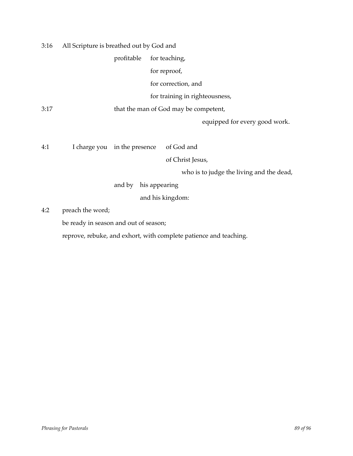3:16 All Scripture is breathed out by God and

profitable for teaching,

for reproof,

for correction, and

for training in righteousness,

3:17 **that the man of God may be competent,** 

equipped for every good work.

4:1 I charge you in the presence of God and

of Christ Jesus,

who is to judge the living and the dead,

and by his appearing

and his kingdom:

4:2 preach the word;

be ready in season and out of season;

reprove, rebuke, and exhort, with complete patience and teaching.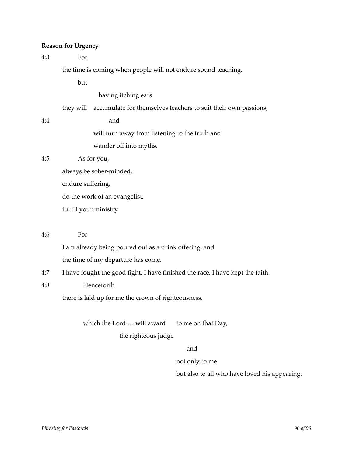## **Reason for Urgency**

| 4:3 | For                                                                           |                                                                |
|-----|-------------------------------------------------------------------------------|----------------------------------------------------------------|
|     |                                                                               | the time is coming when people will not endure sound teaching, |
|     | but                                                                           |                                                                |
|     |                                                                               | having itching ears                                            |
|     | they will                                                                     | accumulate for themselves teachers to suit their own passions, |
| 4:4 |                                                                               | and                                                            |
|     |                                                                               | will turn away from listening to the truth and                 |
|     |                                                                               | wander off into myths.                                         |
| 4:5 |                                                                               | As for you,                                                    |
|     | always be sober-minded,<br>endure suffering,<br>do the work of an evangelist, |                                                                |
|     |                                                                               |                                                                |
|     |                                                                               |                                                                |
|     |                                                                               | fulfill your ministry.                                         |
|     |                                                                               |                                                                |
| 4:6 | For                                                                           |                                                                |
|     |                                                                               |                                                                |

I am already being poured out as a drink offering, and

the time of my departure has come.

- 4:7 I have fought the good fight, I have finished the race, I have kept the faith.
- 4:8 ! ! Henceforth

there is laid up for me the crown of righteousness,

which the Lord  $\ldots$  will award to me on that Day,

the righteous judge

#### and

not only to me

but also to all who have loved his appearing.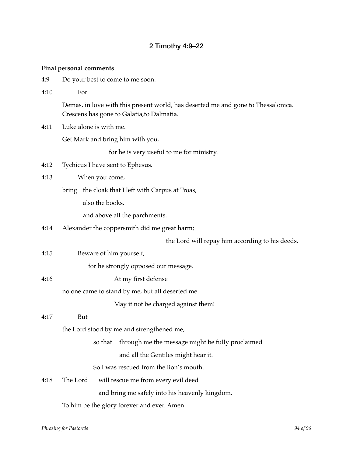# 2 Timothy 4:9–22

## **Final personal comments**

4:9 Do your best to come to me soon.

| 4:10 | For                                                                                                                             |  |  |
|------|---------------------------------------------------------------------------------------------------------------------------------|--|--|
|      | Demas, in love with this present world, has deserted me and gone to Thessalonica.<br>Crescens has gone to Galatia, to Dalmatia. |  |  |
| 4:11 | Luke alone is with me.                                                                                                          |  |  |
|      | Get Mark and bring him with you,                                                                                                |  |  |
|      | for he is very useful to me for ministry.                                                                                       |  |  |
| 4:12 | Tychicus I have sent to Ephesus.                                                                                                |  |  |
| 4:13 | When you come,                                                                                                                  |  |  |
|      | bring the cloak that I left with Carpus at Troas,                                                                               |  |  |
|      | also the books,                                                                                                                 |  |  |
|      | and above all the parchments.                                                                                                   |  |  |
| 4:14 | Alexander the coppersmith did me great harm;                                                                                    |  |  |
|      | the Lord will repay him according to his deeds.                                                                                 |  |  |
| 4:15 | Beware of him yourself,                                                                                                         |  |  |
|      | for he strongly opposed our message.                                                                                            |  |  |
| 4:16 | At my first defense                                                                                                             |  |  |
|      | no one came to stand by me, but all deserted me.                                                                                |  |  |
|      | May it not be charged against them!                                                                                             |  |  |
| 4:17 | But                                                                                                                             |  |  |
|      | the Lord stood by me and strengthened me,                                                                                       |  |  |
|      | so that through me the message might be fully proclaimed                                                                        |  |  |
|      | and all the Gentiles might hear it.                                                                                             |  |  |
|      | So I was rescued from the lion's mouth.                                                                                         |  |  |
| 4:18 | The Lord<br>will rescue me from every evil deed                                                                                 |  |  |
|      | and bring me safely into his heavenly kingdom.                                                                                  |  |  |
|      | To him be the glory forever and ever. Amen.                                                                                     |  |  |
|      |                                                                                                                                 |  |  |